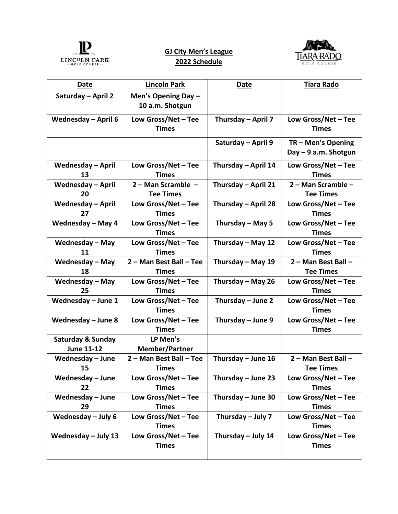

## **GJ City Men's League 2022 Schedule**



| <b>Date</b>                                       | <b>Lincoln Park</b>                      | <b>Date</b>          | <b>Tiara Rado</b>                          |
|---------------------------------------------------|------------------------------------------|----------------------|--------------------------------------------|
| Saturday - April 2                                | Men's Opening Day $-$<br>10 a.m. Shotgun |                      |                                            |
| <b>Wednesday - April 6</b>                        | Low Gross/Net - Tee<br><b>Times</b>      | Thursday - April 7   | Low Gross/Net - Tee<br><b>Times</b>        |
|                                                   |                                          | Saturday - April 9   | TR - Men's Opening<br>Day - 9 a.m. Shotgun |
| <b>Wednesday - April</b><br>13                    | Low Gross/Net - Tee<br><b>Times</b>      | Thursday - April 14  | Low Gross/Net - Tee<br><b>Times</b>        |
| <b>Wednesday - April</b><br>20                    | 2 - Man Scramble -<br><b>Tee Times</b>   | Thursday - April 21  | 2 - Man Scramble -<br><b>Tee Times</b>     |
| Wednesday - April<br>27                           | Low Gross/Net - Tee<br><b>Times</b>      | Thursday - April 28  | Low Gross/Net - Tee<br><b>Times</b>        |
| Wednesday - May 4                                 | Low Gross/Net $-$ Tee<br><b>Times</b>    | Thursday - May 5     | Low Gross/Net - Tee<br><b>Times</b>        |
| <b>Wednesday - May</b><br>11                      | Low Gross/Net - Tee<br><b>Times</b>      | Thursday - May 12    | Low Gross/Net - Tee<br><b>Times</b>        |
| <b>Wednesday - May</b><br>18                      | 2 - Man Best Ball - Tee<br><b>Times</b>  | Thursday - May 19    | 2 - Man Best Ball -<br><b>Tee Times</b>    |
| <b>Wednesday - May</b><br>25                      | Low Gross/Net - Tee<br><b>Times</b>      | Thursday - May 26    | Low Gross/Net - Tee<br><b>Times</b>        |
| Wednesday - June 1                                | Low Gross/Net $-$ Tee<br><b>Times</b>    | Thursday - June 2    | Low Gross/Net - Tee<br><b>Times</b>        |
| Wednesday $-$ June 8                              | Low Gross/Net - Tee<br><b>Times</b>      | Thursday - June 9    | Low Gross/Net - Tee<br><b>Times</b>        |
| <b>Saturday &amp; Sunday</b><br><b>June 11-12</b> | LP Men's<br><b>Member/Partner</b>        |                      |                                            |
| Wednesday - June<br>15                            | 2 - Man Best Ball - Tee<br><b>Times</b>  | Thursday - June 16   | 2 - Man Best Ball -<br><b>Tee Times</b>    |
| Wednesday - June<br>22                            | Low Gross/Net $-$ Tee<br><b>Times</b>    | Thursday $-$ June 23 | Low Gross/Net $-$ Tee<br><b>Times</b>      |
| Wednesday - June<br>29                            | Low Gross/Net $-$ Tee<br><b>Times</b>    | Thursday $-$ June 30 | Low Gross/Net - Tee<br><b>Times</b>        |
| Wednesday $-$ July 6                              | Low Gross/Net - Tee<br><b>Times</b>      | Thursday $-$ July 7  | Low Gross/Net - Tee<br><b>Times</b>        |
| Wednesday $-$ July 13                             | Low Gross/Net - Tee<br><b>Times</b>      | Thursday - July 14   | Low Gross/Net - Tee<br><b>Times</b>        |